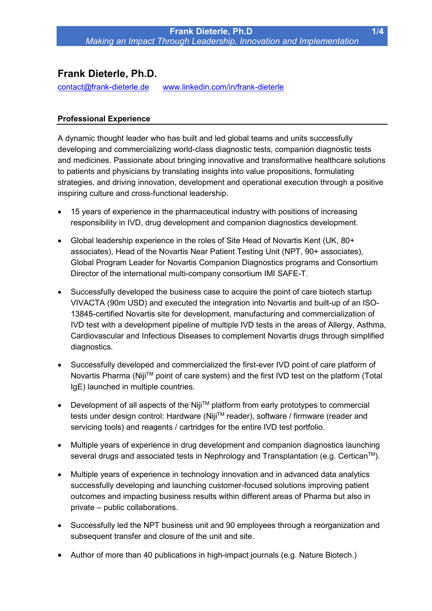# **Frank Dieterle, Ph.D.**

[contact@frank-dieterle.de](mailto:contact@frank-dieterle.de) [www.linkedin.com/in/frank-dieterle](http://www.linkedin.com/in/frank-dieterle)

## **Professional Experience**

A dynamic thought leader who has built and led global teams and units successfully developing and commercializing world-class diagnostic tests, companion diagnostic tests and medicines. Passionate about bringing innovative and transformative healthcare solutions to patients and physicians by translating insights into value propositions, formulating strategies, and driving innovation, development and operational execution through a positive inspiring culture and cross-functional leadership.

- 15 years of experience in the pharmaceutical industry with positions of increasing responsibility in IVD, drug development and companion diagnostics development.
- Global leadership experience in the roles of Site Head of Novartis Kent (UK, 80+ associates), Head of the Novartis Near Patient Testing Unit (NPT, 90+ associates), Global Program Leader for Novartis Companion Diagnostics programs and Consortium Director of the international multi-company consortium IMI SAFE-T.
- Successfully developed the business case to acquire the point of care biotech startup VIVACTA (90m USD) and executed the integration into Novartis and built-up of an ISO-13845-certified Novartis site for development, manufacturing and commercialization of IVD test with a development pipeline of multiple IVD tests in the areas of Allergy, Asthma, Cardiovascular and Infectious Diseases to complement Novartis drugs through simplified diagnostics.
- Successfully developed and commercialized the first-ever IVD point of care platform of Novartis Pharma (Niji™ point of care system) and the first IVD test on the platform (Total IgE) launched in multiple countries.
- Development of all aspects of the Niji™ platform from early prototypes to commercial tests under design control: Hardware (Niji™ reader), software / firmware (reader and servicing tools) and reagents / cartridges for the entire IVD test portfolio.
- Multiple years of experience in drug development and companion diagnostics launching several drugs and associated tests in Nephrology and Transplantation (e.g. Certican<sup>TM</sup>).
- Multiple years of experience in technology innovation and in advanced data analytics successfully developing and launching customer-focused solutions improving patient outcomes and impacting business results within different areas of Pharma but also in private – public collaborations.
- Successfully led the NPT business unit and 90 employees through a reorganization and subsequent transfer and closure of the unit and site.
- Author of more than 40 publications in high-impact journals (e.g. Nature Biotech.)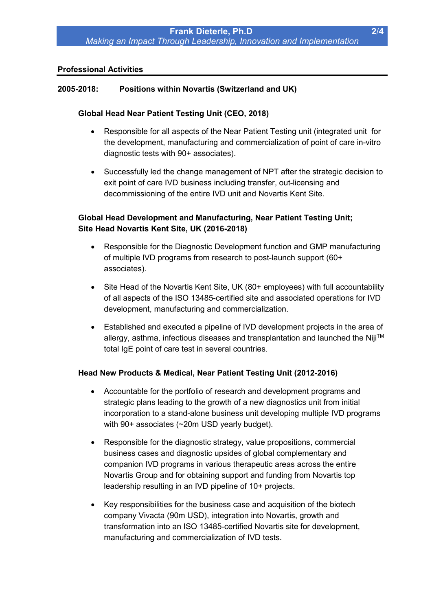#### **Professional Activities**

### **2005-2018: Positions within Novartis (Switzerland and UK)**

#### **Global Head Near Patient Testing Unit (CEO, 2018)**

- Responsible for all aspects of the Near Patient Testing unit (integrated unit for the development, manufacturing and commercialization of point of care in-vitro diagnostic tests with 90+ associates).
- Successfully led the change management of NPT after the strategic decision to exit point of care IVD business including transfer, out-licensing and decommissioning of the entire IVD unit and Novartis Kent Site.

## **Global Head Development and Manufacturing, Near Patient Testing Unit; Site Head Novartis Kent Site, UK (2016-2018)**

- Responsible for the Diagnostic Development function and GMP manufacturing of multiple lVD programs from research to post-launch support (60+ associates).
- Site Head of the Novartis Kent Site, UK (80+ employees) with full accountability of all aspects of the ISO 13485-certified site and associated operations for IVD development, manufacturing and commercialization.
- Established and executed a pipeline of IVD development projects in the area of allergy, asthma, infectious diseases and transplantation and launched the Niii™ total IgE point of care test in several countries.

#### **Head New Products & Medical, Near Patient Testing Unit (2012-2016)**

- Accountable for the portfolio of research and development programs and strategic plans leading to the growth of a new diagnostics unit from initial incorporation to a stand-alone business unit developing multiple IVD programs with 90+ associates (~20m USD yearly budget).
- Responsible for the diagnostic strategy, value propositions, commercial business cases and diagnostic upsides of global complementary and companion IVD programs in various therapeutic areas across the entire Novartis Group and for obtaining support and funding from Novartis top leadership resulting in an IVD pipeline of 10+ projects.
- Key responsibilities for the business case and acquisition of the biotech company Vivacta (90m USD), integration into Novartis, growth and transformation into an ISO 13485-certified Novartis site for development, manufacturing and commercialization of IVD tests.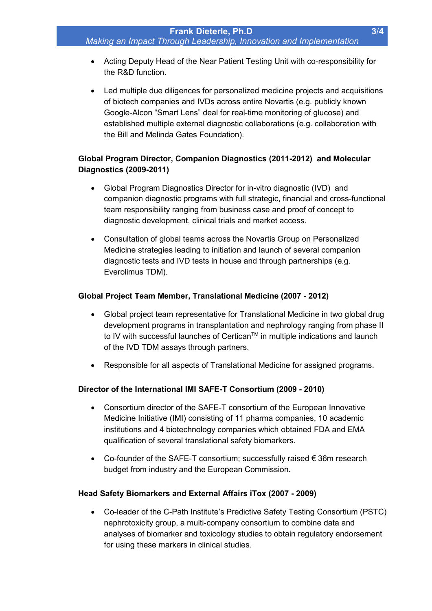- Acting Deputy Head of the Near Patient Testing Unit with co-responsibility for the R&D function.
- Led multiple due diligences for personalized medicine projects and acquisitions of biotech companies and IVDs across entire Novartis (e.g. publicly known Google-Alcon "Smart Lens" deal for real-time monitoring of glucose) and established multiple external diagnostic collaborations (e.g. collaboration with the Bill and Melinda Gates Foundation).

# **Global Program Director, Companion Diagnostics (2011-2012) and Molecular Diagnostics (2009-2011)**

- Global Program Diagnostics Director for in-vitro diagnostic (IVD) and companion diagnostic programs with full strategic, financial and cross-functional team responsibility ranging from business case and proof of concept to diagnostic development, clinical trials and market access.
- Consultation of global teams across the Novartis Group on Personalized Medicine strategies leading to initiation and launch of several companion diagnostic tests and IVD tests in house and through partnerships (e.g. Everolimus TDM).

# **Global Project Team Member, Translational Medicine (2007 - 2012)**

- Global project team representative for Translational Medicine in two global drug development programs in transplantation and nephrology ranging from phase II to IV with successful launches of Certican<sup>TM</sup> in multiple indications and launch of the IVD TDM assays through partners.
- Responsible for all aspects of Translational Medicine for assigned programs.

# **Director of the International IMI SAFE-T Consortium (2009 - 2010)**

- Consortium director of the SAFE-T consortium of the European Innovative Medicine Initiative (IMI) consisting of 11 pharma companies, 10 academic institutions and 4 biotechnology companies which obtained FDA and EMA qualification of several translational safety biomarkers.
- Co-founder of the SAFE-T consortium; successfully raised  $\epsilon$  36m research budget from industry and the European Commission.

# **Head Safety Biomarkers and External Affairs iTox (2007 - 2009)**

• Co-leader of the C-Path Institute's Predictive Safety Testing Consortium (PSTC) nephrotoxicity group, a multi-company consortium to combine data and analyses of biomarker and toxicology studies to obtain regulatory endorsement for using these markers in clinical studies.